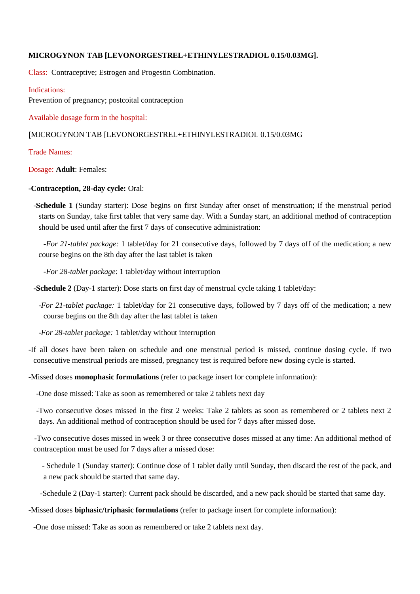### **MICROGYNON TAB [LEVONORGESTREL+ETHINYLESTRADIOL 0.15/0.03MG].**

Class: Contraceptive; Estrogen and Progestin Combination.

Indications: Prevention of pregnancy; postcoital contraception

Available dosage form in the hospital:

#### ]MICROGYNON TAB [LEVONORGESTREL+ETHINYLESTRADIOL 0.15/0.03MG

Trade Names:

Dosage: **Adult**: Females:

#### **-Contraception, 28-day cycle:** Oral:

-**Schedule 1** (Sunday starter): Dose begins on first Sunday after onset of menstruation; if the menstrual period starts on Sunday, take first tablet that very same day. With a Sunday start, an additional method of contraception should be used until after the first 7 days of consecutive administration:

-*For 21-tablet package:* 1 tablet/day for 21 consecutive days, followed by 7 days off of the medication; a new course begins on the 8th day after the last tablet is taken

-*For 28-tablet package*: 1 tablet/day without interruption

**-Schedule 2** (Day-1 starter): Dose starts on first day of menstrual cycle taking 1 tablet/day:

-*For 21-tablet package:* 1 tablet/day for 21 consecutive days, followed by 7 days off of the medication; a new course begins on the 8th day after the last tablet is taken

-*For 28-tablet package:* 1 tablet/day without interruption

-If all doses have been taken on schedule and one menstrual period is missed, continue dosing cycle. If two consecutive menstrual periods are missed, pregnancy test is required before new dosing cycle is started.

-Missed doses **monophasic formulations** (refer to package insert for complete information):

-One dose missed: Take as soon as remembered or take 2 tablets next day

 -Two consecutive doses missed in the first 2 weeks: Take 2 tablets as soon as remembered or 2 tablets next 2 days. An additional method of contraception should be used for 7 days after missed dose.

 -Two consecutive doses missed in week 3 or three consecutive doses missed at any time: An additional method of contraception must be used for 7 days after a missed dose:

 - Schedule 1 (Sunday starter): Continue dose of 1 tablet daily until Sunday, then discard the rest of the pack, and a new pack should be started that same day.

-Schedule 2 (Day-1 starter): Current pack should be discarded, and a new pack should be started that same day.

#### -Missed doses **biphasic/triphasic formulations** (refer to package insert for complete information):

-One dose missed: Take as soon as remembered or take 2 tablets next day.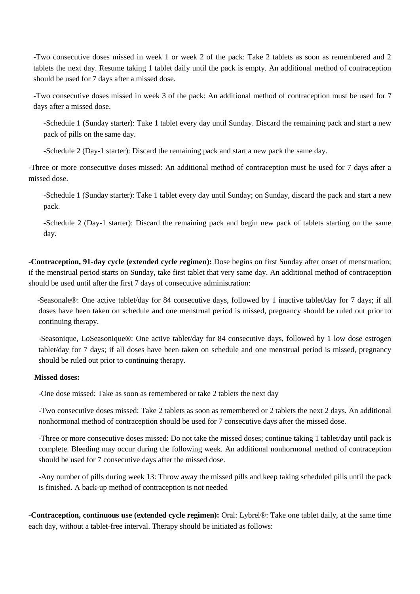-Two consecutive doses missed in week 1 or week 2 of the pack: Take 2 tablets as soon as remembered and 2 tablets the next day. Resume taking 1 tablet daily until the pack is empty. An additional method of contraception should be used for 7 days after a missed dose.

-Two consecutive doses missed in week 3 of the pack: An additional method of contraception must be used for 7 days after a missed dose.

-Schedule 1 (Sunday starter): Take 1 tablet every day until Sunday. Discard the remaining pack and start a new pack of pills on the same day.

-Schedule 2 (Day-1 starter): Discard the remaining pack and start a new pack the same day.

-Three or more consecutive doses missed: An additional method of contraception must be used for 7 days after a missed dose.

-Schedule 1 (Sunday starter): Take 1 tablet every day until Sunday; on Sunday, discard the pack and start a new pack.

-Schedule 2 (Day-1 starter): Discard the remaining pack and begin new pack of tablets starting on the same day.

**-Contraception, 91-day cycle (extended cycle regimen):** Dose begins on first Sunday after onset of menstruation; if the menstrual period starts on Sunday, take first tablet that very same day. An additional method of contraception should be used until after the first 7 days of consecutive administration:

 -Seasonale®: One active tablet/day for 84 consecutive days, followed by 1 inactive tablet/day for 7 days; if all doses have been taken on schedule and one menstrual period is missed, pregnancy should be ruled out prior to continuing therapy.

-Seasonique, LoSeasonique®: One active tablet/day for 84 consecutive days, followed by 1 low dose estrogen tablet/day for 7 days; if all doses have been taken on schedule and one menstrual period is missed, pregnancy should be ruled out prior to continuing therapy.

### **Missed doses:**

-One dose missed: Take as soon as remembered or take 2 tablets the next day

-Two consecutive doses missed: Take 2 tablets as soon as remembered or 2 tablets the next 2 days. An additional nonhormonal method of contraception should be used for 7 consecutive days after the missed dose.

-Three or more consecutive doses missed: Do not take the missed doses; continue taking 1 tablet/day until pack is complete. Bleeding may occur during the following week. An additional nonhormonal method of contraception should be used for 7 consecutive days after the missed dose.

-Any number of pills during week 13: Throw away the missed pills and keep taking scheduled pills until the pack is finished. A back-up method of contraception is not needed

**-Contraception, continuous use (extended cycle regimen):** Oral: Lybrel®: Take one tablet daily, at the same time each day, without a tablet-free interval. Therapy should be initiated as follows: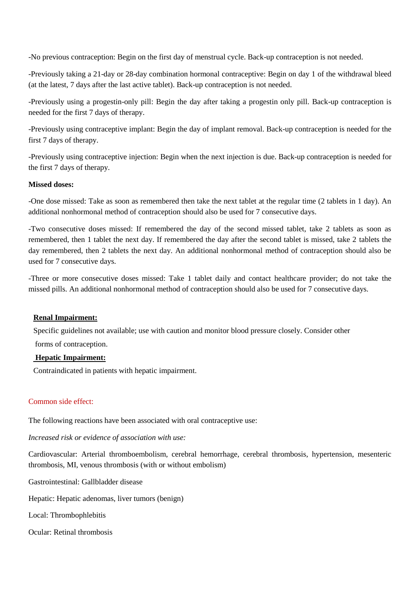-No previous contraception: Begin on the first day of menstrual cycle. Back-up contraception is not needed.

-Previously taking a 21-day or 28-day combination hormonal contraceptive: Begin on day 1 of the withdrawal bleed (at the latest, 7 days after the last active tablet). Back-up contraception is not needed.

-Previously using a progestin-only pill: Begin the day after taking a progestin only pill. Back-up contraception is needed for the first 7 days of therapy.

-Previously using contraceptive implant: Begin the day of implant removal. Back-up contraception is needed for the first 7 days of therapy.

-Previously using contraceptive injection: Begin when the next injection is due. Back-up contraception is needed for the first 7 days of therapy.

### **Missed doses:**

-One dose missed: Take as soon as remembered then take the next tablet at the regular time (2 tablets in 1 day). An additional nonhormonal method of contraception should also be used for 7 consecutive days.

-Two consecutive doses missed: If remembered the day of the second missed tablet, take 2 tablets as soon as remembered, then 1 tablet the next day. If remembered the day after the second tablet is missed, take 2 tablets the day remembered, then 2 tablets the next day. An additional nonhormonal method of contraception should also be used for 7 consecutive days.

-Three or more consecutive doses missed: Take 1 tablet daily and contact healthcare provider; do not take the missed pills. An additional nonhormonal method of contraception should also be used for 7 consecutive days.

# **Renal Impairment:**

Specific guidelines not available; use with caution and monitor blood pressure closely. Consider other

forms of contraception.

# **Hepatic Impairment:**

Contraindicated in patients with hepatic impairment.

# Common side effect:

The following reactions have been associated with oral contraceptive use:

*Increased risk or evidence of association with use:*

Cardiovascular: Arterial thromboembolism, cerebral hemorrhage, cerebral thrombosis, hypertension, mesenteric thrombosis, MI, venous thrombosis (with or without embolism)

Gastrointestinal: Gallbladder disease

Hepatic: Hepatic adenomas, liver tumors (benign)

Local: Thrombophlebitis

Ocular: Retinal thrombosis